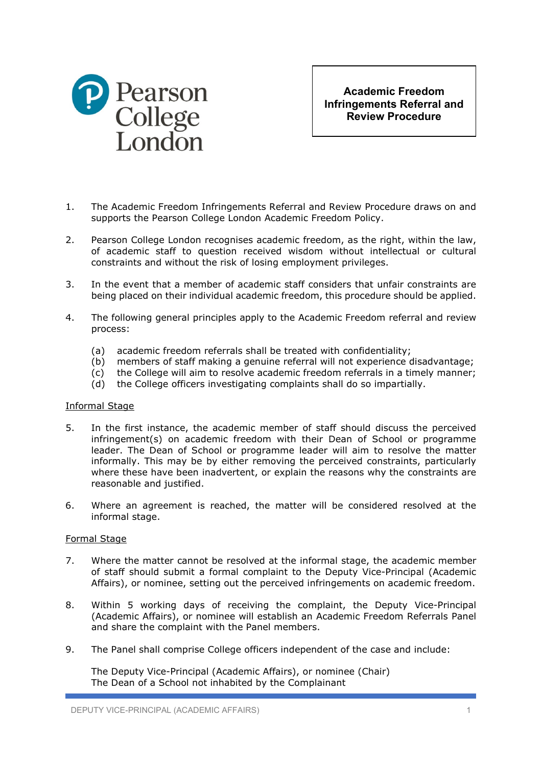

**Academic Freedom Infringements Referral and Review Procedure**

- 1. The Academic Freedom Infringements Referral and Review Procedure draws on and supports the Pearson College London Academic Freedom Policy.
- 2. Pearson College London recognises academic freedom, as the right, within the law, of academic staff to question received wisdom without intellectual or cultural constraints and without the risk of losing employment privileges.
- 3. In the event that a member of academic staff considers that unfair constraints are being placed on their individual academic freedom, this procedure should be applied.
- 4. The following general principles apply to the Academic Freedom referral and review process:
	- (a) academic freedom referrals shall be treated with confidentiality;
	- (b) members of staff making a genuine referral will not experience disadvantage;
	- (c) the College will aim to resolve academic freedom referrals in a timely manner;
	- (d) the College officers investigating complaints shall do so impartially.

## Informal Stage

- 5. In the first instance, the academic member of staff should discuss the perceived infringement(s) on academic freedom with their Dean of School or programme leader. The Dean of School or programme leader will aim to resolve the matter informally. This may be by either removing the perceived constraints, particularly where these have been inadvertent, or explain the reasons why the constraints are reasonable and justified.
- 6. Where an agreement is reached, the matter will be considered resolved at the informal stage.

## Formal Stage

- 7. Where the matter cannot be resolved at the informal stage, the academic member of staff should submit a formal complaint to the Deputy Vice-Principal (Academic Affairs), or nominee, setting out the perceived infringements on academic freedom.
- 8. Within 5 working days of receiving the complaint, the Deputy Vice-Principal (Academic Affairs), or nominee will establish an Academic Freedom Referrals Panel and share the complaint with the Panel members.
- 9. The Panel shall comprise College officers independent of the case and include:

The Deputy Vice-Principal (Academic Affairs), or nominee (Chair) The Dean of a School not inhabited by the Complainant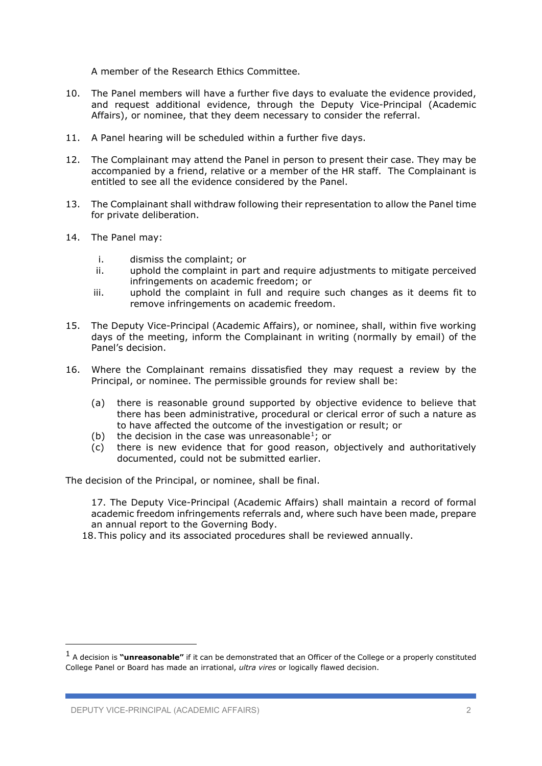A member of the Research Ethics Committee.

- 10. The Panel members will have a further five days to evaluate the evidence provided, and request additional evidence, through the Deputy Vice-Principal (Academic Affairs), or nominee, that they deem necessary to consider the referral.
- 11. A Panel hearing will be scheduled within a further five days.
- 12. The Complainant may attend the Panel in person to present their case. They may be accompanied by a friend, relative or a member of the HR staff. The Complainant is entitled to see all the evidence considered by the Panel.
- 13. The Complainant shall withdraw following their representation to allow the Panel time for private deliberation.
- 14. The Panel may:
	- i. dismiss the complaint; or
	- ii. uphold the complaint in part and require adjustments to mitigate perceived infringements on academic freedom; or
	- iii. uphold the complaint in full and require such changes as it deems fit to remove infringements on academic freedom.
- 15. The Deputy Vice-Principal (Academic Affairs), or nominee, shall, within five working days of the meeting, inform the Complainant in writing (normally by email) of the Panel's decision.
- 16. Where the Complainant remains dissatisfied they may request a review by the Principal, or nominee. The permissible grounds for review shall be:
	- (a) there is reasonable ground supported by objective evidence to believe that there has been administrative, procedural or clerical error of such a nature as to have affected the outcome of the investigation or result; or
	- (b) the decision in the case was unreasonable<sup>1</sup>; or
	- (c) there is new evidence that for good reason, objectively and authoritatively documented, could not be submitted earlier.

The decision of the Principal, or nominee, shall be final.

17. The Deputy Vice-Principal (Academic Affairs) shall maintain a record of formal academic freedom infringements referrals and, where such have been made, prepare an annual report to the Governing Body.

18. This policy and its associated procedures shall be reviewed annually.

<span id="page-1-0"></span><sup>1</sup> A decision is **"unreasonable"** if it can be demonstrated that an Officer of the College or a properly constituted College Panel or Board has made an irrational, *ultra vires* or logically flawed decision.